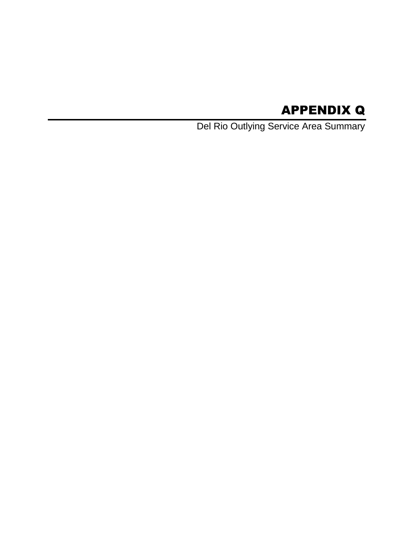# APPENDIX Q

Del Rio Outlying Service Area Summary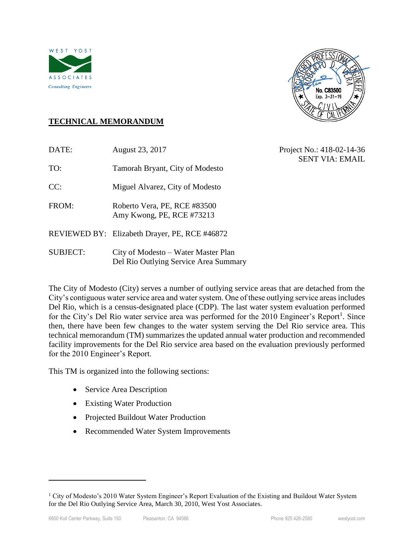



# **TECHNICAL MEMORANDUM**

| DATE:           | August 23, 2017                                                              | Project No.: 418-02-14-36<br><b>SENT VIA: EMAIL</b> |
|-----------------|------------------------------------------------------------------------------|-----------------------------------------------------|
| TO:             | Tamorah Bryant, City of Modesto                                              |                                                     |
| CC:             | Miguel Alvarez, City of Modesto                                              |                                                     |
| FROM:           | Roberto Vera, PE, RCE #83500<br>Amy Kwong, PE, RCE #73213                    |                                                     |
|                 | REVIEWED BY: Elizabeth Drayer, PE, RCE #46872                                |                                                     |
| <b>SUBJECT:</b> | City of Modesto – Water Master Plan<br>Del Rio Outlying Service Area Summary |                                                     |

The City of Modesto (City) serves a number of outlying service areas that are detached from the City's contiguous water service area and water system. One of these outlying service areas includes Del Rio, which is a census-designated place (CDP). The last water system evaluation performed for the City's Del Rio water service area was performed for the  $2010$  Engineer's Report<sup>1</sup>. Since then, there have been few changes to the water system serving the Del Rio service area. This technical memorandum (TM) summarizes the updated annual water production and recommended facility improvements for the Del Rio service area based on the evaluation previously performed for the 2010 Engineer's Report.

This TM is organized into the following sections:

- Service Area Description
- Existing Water Production
- Projected Buildout Water Production
- Recommended Water System Improvements

 $\overline{a}$ 

<sup>&</sup>lt;sup>1</sup> City of Modesto's 2010 Water System Engineer's Report Evaluation of the Existing and Buildout Water System for the Del Rio Outlying Service Area, March 30, 2010, West Yost Associates.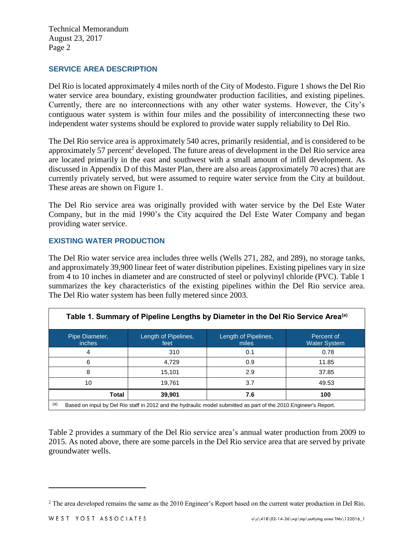#### **SERVICE AREA DESCRIPTION**

Del Rio is located approximately 4 miles north of the City of Modesto. Figure 1 shows the Del Rio water service area boundary, existing groundwater production facilities, and existing pipelines. Currently, there are no interconnections with any other water systems. However, the City's contiguous water system is within four miles and the possibility of interconnecting these two independent water systems should be explored to provide water supply reliability to Del Rio.

The Del Rio service area is approximately 540 acres, primarily residential, and is considered to be approximately 57 percent<sup>2</sup> developed. The future areas of development in the Del Rio service area are located primarily in the east and southwest with a small amount of infill development. As discussed in Appendix D of this Master Plan, there are also areas (approximately 70 acres) that are currently privately served, but were assumed to require water service from the City at buildout. These areas are shown on Figure 1.

The Del Rio service area was originally provided with water service by the Del Este Water Company, but in the mid 1990's the City acquired the Del Este Water Company and began providing water service.

### **EXISTING WATER PRODUCTION**

The Del Rio water service area includes three wells (Wells 271, 282, and 289), no storage tanks, and approximately 39,900 linear feet of water distribution pipelines. Existing pipelines vary in size from 4 to 10 inches in diameter and are constructed of steel or polyvinyl chloride (PVC). Table 1 summarizes the key characteristics of the existing pipelines within the Del Rio service area. The Del Rio water system has been fully metered since 2003.

| Table 1. Summary of Pipeline Lengths by Diameter in the Del Rio Service Area <sup>(a)</sup>                             |                              |                               |                                   |  |  |  |
|-------------------------------------------------------------------------------------------------------------------------|------------------------------|-------------------------------|-----------------------------------|--|--|--|
| Pipe Diameter,<br><i>inches</i>                                                                                         | Length of Pipelines,<br>feet | Length of Pipelines,<br>miles | Percent of<br><b>Water System</b> |  |  |  |
| 4                                                                                                                       | 310                          | 0.1                           | 0.78                              |  |  |  |
| 6                                                                                                                       | 4,729                        | 0.9                           | 11.85                             |  |  |  |
| 8                                                                                                                       | 15,101                       | 2.9                           | 37.85                             |  |  |  |
| 10                                                                                                                      | 19,761                       | 3.7                           | 49.53                             |  |  |  |
| <b>Total</b>                                                                                                            | 39,901                       | 7.6                           | 100                               |  |  |  |
| (a)<br>Based on input by Del Rio staff in 2012 and the hydraulic model submitted as part of the 2010 Engineer's Report. |                              |                               |                                   |  |  |  |

Table 2 provides a summary of the Del Rio service area's annual water production from 2009 to 2015. As noted above, there are some parcels in the Del Rio service area that are served by private groundwater wells.

 $\overline{a}$ 

<sup>&</sup>lt;sup>2</sup> The area developed remains the same as the 2010 Engineer's Report based on the current water production in Del Rio.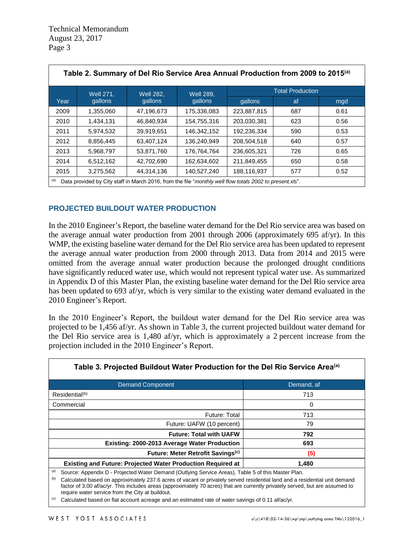| Table 2. Summary of Del Rio Service Area Annual Production from 2009 to 2015 <sup>(a)</sup>                     |                                      |            |                  |                         |     |      |
|-----------------------------------------------------------------------------------------------------------------|--------------------------------------|------------|------------------|-------------------------|-----|------|
|                                                                                                                 | <b>Well 271,</b><br><b>Well 282.</b> |            | <b>Well 289,</b> | <b>Total Production</b> |     |      |
| Year                                                                                                            | gallons                              | gallons    | gallons          | gallons                 | af  | mgd  |
| 2009                                                                                                            | 1.355.060                            | 47.196.673 | 175.336.083      | 223.887.815             | 687 | 0.61 |
| 2010                                                                                                            | 1,434,131                            | 46.840.934 | 154,755,316      | 203.030.381             | 623 | 0.56 |
| 2011                                                                                                            | 5,974,532                            | 39,919,651 | 146,342,152      | 192,236,334             | 590 | 0.53 |
| 2012                                                                                                            | 8,856,445                            | 63,407,124 | 136,240,949      | 208,504,518             | 640 | 0.57 |
| 2013                                                                                                            | 5,968,797                            | 53,871,760 | 176.764.764      | 236,605,321             | 726 | 0.65 |
| 2014                                                                                                            | 6,512,162                            | 42,702,690 | 162,634,602      | 211,849,455             | 650 | 0.58 |
| 2015                                                                                                            | 3,275,562                            | 44,314,136 | 140,527,240      | 188,116,937             | 577 | 0.52 |
| (a)<br>Data provided by City staff in March 2016, from the file "monthly well flow totals 2002 to present xls". |                                      |            |                  |                         |     |      |

# **PROJECTED BUILDOUT WATER PRODUCTION**

In the 2010 Engineer's Report, the baseline water demand for the Del Rio service area was based on the average annual water production from 2001 through 2006 (approximately 695 af/yr). In this WMP, the existing baseline water demand for the Del Rio service area has been updated to represent the average annual water production from 2000 through 2013. Data from 2014 and 2015 were omitted from the average annual water production because the prolonged drought conditions have significantly reduced water use, which would not represent typical water use. As summarized in Appendix D of this Master Plan, the existing baseline water demand for the Del Rio service area has been updated to 693 af/yr, which is very similar to the existing water demand evaluated in the 2010 Engineer's Report.

In the 2010 Engineer's Report, the buildout water demand for the Del Rio service area was projected to be 1,456 af/yr. As shown in Table 3, the current projected buildout water demand for the Del Rio service area is 1,480 af/yr, which is approximately a 2 percent increase from the projection included in the 2010 Engineer's Report.

| Table 3. Projected Buildout Water Production for the Del Rio Service Area <sup>(a)</sup>                                                                                                                                                                                                                                                                                        |            |  |  |  |  |
|---------------------------------------------------------------------------------------------------------------------------------------------------------------------------------------------------------------------------------------------------------------------------------------------------------------------------------------------------------------------------------|------------|--|--|--|--|
| <b>Demand Component</b>                                                                                                                                                                                                                                                                                                                                                         | Demand, af |  |  |  |  |
| Residential <sup>(b)</sup>                                                                                                                                                                                                                                                                                                                                                      | 713        |  |  |  |  |
| Commercial                                                                                                                                                                                                                                                                                                                                                                      | 0          |  |  |  |  |
| <b>Future: Total</b>                                                                                                                                                                                                                                                                                                                                                            | 713        |  |  |  |  |
| Future: UAFW (10 percent)                                                                                                                                                                                                                                                                                                                                                       | 79         |  |  |  |  |
| <b>Future: Total with UAFW</b>                                                                                                                                                                                                                                                                                                                                                  | 792        |  |  |  |  |
| Existing: 2000-2013 Average Water Production                                                                                                                                                                                                                                                                                                                                    | 693        |  |  |  |  |
| Future: Meter Retrofit Savings <sup>(c)</sup>                                                                                                                                                                                                                                                                                                                                   | (5)        |  |  |  |  |
| <b>Existing and Future: Projected Water Production Required at</b>                                                                                                                                                                                                                                                                                                              | 1,480      |  |  |  |  |
| (a)<br>Source: Appendix D - Projected Water Demand (Outlying Service Areas), Table 5 of this Master Plan.<br>(b)<br>Calculated based on approximately 237.6 acres of vacant or privately served residential land and a residential unit demand<br>factor of 3.00 af/ac/yr. This includes areas (approximately 70 acres) that are currently privately served, but are assumed to |            |  |  |  |  |

require water service from the City at buildout.

 $^{(c)}$  Calculated based on flat account acreage and an estimated rate of water savings of 0.11 af/ac/yr.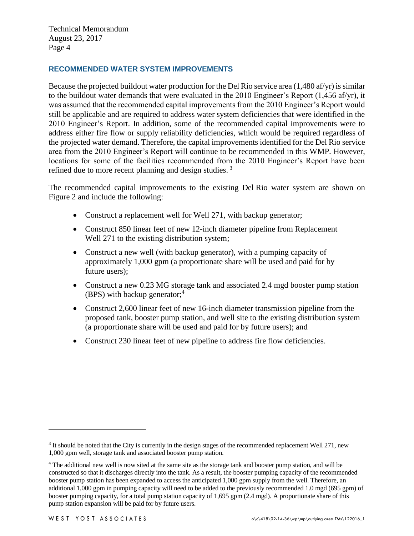#### **RECOMMENDED WATER SYSTEM IMPROVEMENTS**

Because the projected buildout water production for the Del Rio service area  $(1,480 \text{ af/yr})$  is similar to the buildout water demands that were evaluated in the 2010 Engineer's Report (1,456 af/yr), it was assumed that the recommended capital improvements from the 2010 Engineer's Report would still be applicable and are required to address water system deficiencies that were identified in the 2010 Engineer's Report. In addition, some of the recommended capital improvements were to address either fire flow or supply reliability deficiencies, which would be required regardless of the projected water demand. Therefore, the capital improvements identified for the Del Rio service area from the 2010 Engineer's Report will continue to be recommended in this WMP. However, locations for some of the facilities recommended from the 2010 Engineer's Report have been refined due to more recent planning and design studies.<sup>3</sup>

The recommended capital improvements to the existing Del Rio water system are shown on Figure 2 and include the following:

- Construct a replacement well for Well 271, with backup generator;
- Construct 850 linear feet of new 12-inch diameter pipeline from Replacement Well 271 to the existing distribution system;
- Construct a new well (with backup generator), with a pumping capacity of approximately 1,000 gpm (a proportionate share will be used and paid for by future users);
- Construct a new 0.23 MG storage tank and associated 2.4 mgd booster pump station (BPS) with backup generator;<sup>4</sup>
- Construct 2,600 linear feet of new 16-inch diameter transmission pipeline from the proposed tank, booster pump station, and well site to the existing distribution system (a proportionate share will be used and paid for by future users); and
- Construct 230 linear feet of new pipeline to address fire flow deficiencies.

 $\overline{a}$ 

 $3$  It should be noted that the City is currently in the design stages of the recommended replacement Well 271, new 1,000 gpm well, storage tank and associated booster pump station.

<sup>4</sup> The additional new well is now sited at the same site as the storage tank and booster pump station, and will be constructed so that it discharges directly into the tank. As a result, the booster pumping capacity of the recommended booster pump station has been expanded to access the anticipated 1,000 gpm supply from the well. Therefore, an additional 1,000 gpm in pumping capacity will need to be added to the previously recommended 1.0 mgd (695 gpm) of booster pumping capacity, for a total pump station capacity of 1,695 gpm (2.4 mgd). A proportionate share of this pump station expansion will be paid for by future users.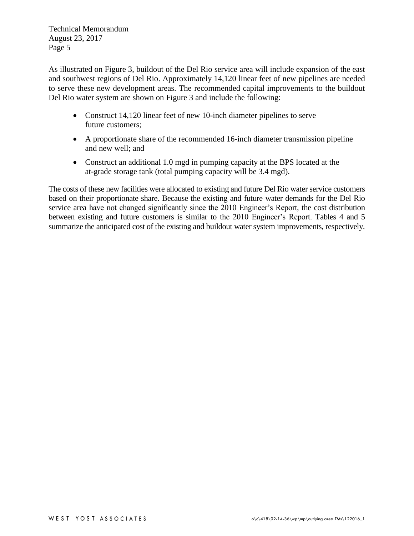As illustrated on Figure 3, buildout of the Del Rio service area will include expansion of the east and southwest regions of Del Rio. Approximately 14,120 linear feet of new pipelines are needed to serve these new development areas. The recommended capital improvements to the buildout Del Rio water system are shown on Figure 3 and include the following:

- Construct 14,120 linear feet of new 10-inch diameter pipelines to serve future customers;
- A proportionate share of the recommended 16-inch diameter transmission pipeline and new well; and
- Construct an additional 1.0 mgd in pumping capacity at the BPS located at the at-grade storage tank (total pumping capacity will be 3.4 mgd).

The costs of these new facilities were allocated to existing and future Del Rio water service customers based on their proportionate share. Because the existing and future water demands for the Del Rio service area have not changed significantly since the 2010 Engineer's Report, the cost distribution between existing and future customers is similar to the 2010 Engineer's Report. Tables 4 and 5 summarize the anticipated cost of the existing and buildout water system improvements, respectively.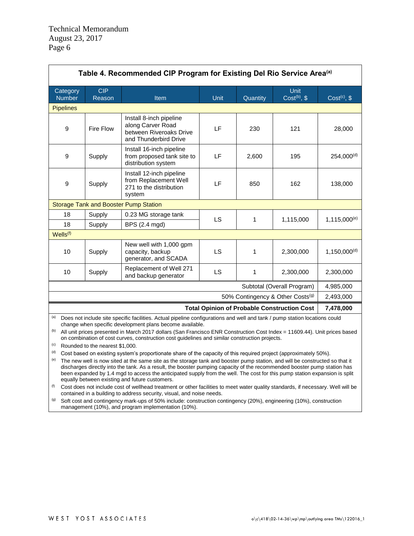| Table 4. Recommended CIP Program for Existing Del Rio Service Area <sup>(a)</sup> |                                              |                                                                                                  |      |           |                                |                          |
|-----------------------------------------------------------------------------------|----------------------------------------------|--------------------------------------------------------------------------------------------------|------|-----------|--------------------------------|--------------------------|
| Category<br><b>Number</b>                                                         | <b>CIP</b><br>Reason                         | Item                                                                                             | Unit | Quantity  | <b>Unit</b><br>Cost $(b)$ , \$ | Cost <sup>(c)</sup> , \$ |
| <b>Pipelines</b>                                                                  |                                              |                                                                                                  |      |           |                                |                          |
| 9                                                                                 | Fire Flow                                    | Install 8-inch pipeline<br>along Carver Road<br>between Riveroaks Drive<br>and Thunderbird Drive | LF   | 230       | 121                            | 28,000                   |
| 9                                                                                 | Supply                                       | Install 16-inch pipeline<br>from proposed tank site to<br>distribution system                    | LF   | 2.600     | 195                            | $254.000^{(d)}$          |
| 9                                                                                 | Supply                                       | Install 12-inch pipeline<br>from Replacement Well<br>271 to the distribution<br>system           | LF   | 850       | 162                            | 138,000                  |
|                                                                                   | <b>Storage Tank and Booster Pump Station</b> |                                                                                                  |      |           |                                |                          |
| 18                                                                                | Supply                                       | 0.23 MG storage tank                                                                             | LS   | 1         | 1,115,000                      |                          |
| 18                                                                                | Supply                                       | BPS (2.4 mgd)                                                                                    |      |           |                                | $1,115,000^{(e)}$        |
| Wells <sup>(f)</sup>                                                              |                                              |                                                                                                  |      |           |                                |                          |
| 10                                                                                | Supply                                       | New well with 1,000 gpm<br>capacity, backup<br>generator, and SCADA                              | LS   | 1         | 2,300,000                      | 1.150.000 <sup>(d)</sup> |
| 10                                                                                | Supply                                       | Replacement of Well 271<br>and backup generator                                                  | LS   | 1         | 2,300,000                      | 2,300,000                |
| Subtotal (Overall Program)                                                        |                                              |                                                                                                  |      | 4,985,000 |                                |                          |
| 50% Contingency & Other Costs <sup>(g)</sup>                                      |                                              |                                                                                                  |      |           | 2,493,000                      |                          |
| <b>Total Opinion of Probable Construction Cost</b>                                |                                              |                                                                                                  |      |           | 7,478,000                      |                          |

(a) Does not include site specific facilities. Actual pipeline configurations and well and tank / pump station locations could change when specific development plans become available.

(b) All unit prices presented in March 2017 dollars (San Francisco ENR Construction Cost Index = 11609.44). Unit prices based on combination of cost curves, construction cost guidelines and similar construction projects.

(c) Rounded to the nearest \$1,000.

(d) Cost based on existing system's proportionate share of the capacity of this required project (approximately 50%).

(e) The new well is now sited at the same site as the storage tank and booster pump station, and will be constructed so that it discharges directly into the tank. As a result, the booster pumping capacity of the recommended booster pump station has been expanded by 1.4 mgd to access the anticipated supply from the well. The cost for this pump station expansion is split equally between existing and future customers.

 $(f)$  Cost does not include cost of wellhead treatment or other facilities to meet water quality standards, if necessary. Well will be contained in a building to address security, visual, and noise needs.

(g) Soft cost and contingency mark-ups of 50% include: construction contingency (20%), engineering (10%), construction management (10%), and program implementation (10%).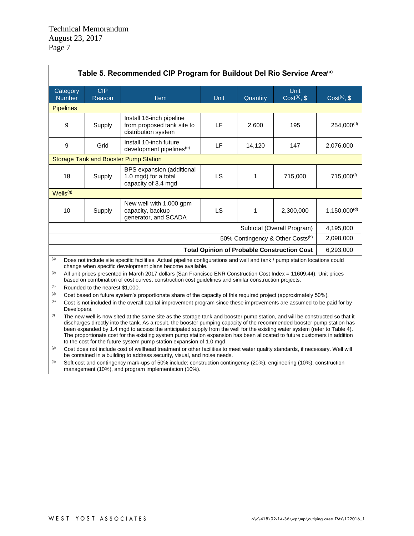| Table 5. Recommended CIP Program for Buildout Del Rio Service Area <sup>(a)</sup>                                                                                                                                                                                                                                                                                                                                                                                                                                                                                                               |                      |                                                                               |             |              |                                                    |                          |
|-------------------------------------------------------------------------------------------------------------------------------------------------------------------------------------------------------------------------------------------------------------------------------------------------------------------------------------------------------------------------------------------------------------------------------------------------------------------------------------------------------------------------------------------------------------------------------------------------|----------------------|-------------------------------------------------------------------------------|-------------|--------------|----------------------------------------------------|--------------------------|
| Category<br><b>Number</b>                                                                                                                                                                                                                                                                                                                                                                                                                                                                                                                                                                       | <b>CIP</b><br>Reason | Item                                                                          | <b>Unit</b> | Quantity     | Unit<br>Cost <sup>(b)</sup> , \$                   | Cost <sup>(c)</sup> , \$ |
| <b>Pipelines</b>                                                                                                                                                                                                                                                                                                                                                                                                                                                                                                                                                                                |                      |                                                                               |             |              |                                                    |                          |
| 9                                                                                                                                                                                                                                                                                                                                                                                                                                                                                                                                                                                               | Supply               | Install 16-inch pipeline<br>from proposed tank site to<br>distribution system | <b>LF</b>   | 2,600        | 195                                                | $254,000^{(d)}$          |
| 9                                                                                                                                                                                                                                                                                                                                                                                                                                                                                                                                                                                               | Grid                 | Install 10-inch future<br>development pipelines <sup>(e)</sup>                | LF          | 14,120       | 147                                                | 2,076,000                |
|                                                                                                                                                                                                                                                                                                                                                                                                                                                                                                                                                                                                 |                      | <b>Storage Tank and Booster Pump Station</b>                                  |             |              |                                                    |                          |
| 18                                                                                                                                                                                                                                                                                                                                                                                                                                                                                                                                                                                              | Supply               | BPS expansion (additional<br>1.0 mgd) for a total<br>capacity of 3.4 mgd      | LS          | $\mathbf{1}$ | 715,000                                            | 715,000 <sup>(f)</sup>   |
| Wells <sup>(g)</sup>                                                                                                                                                                                                                                                                                                                                                                                                                                                                                                                                                                            |                      |                                                                               |             |              |                                                    |                          |
| 10                                                                                                                                                                                                                                                                                                                                                                                                                                                                                                                                                                                              | Supply               | New well with 1,000 gpm<br>capacity, backup<br>generator, and SCADA           | <b>LS</b>   | $\mathbf{1}$ | 2,300,000                                          | $1,150,000^{(d)}$        |
|                                                                                                                                                                                                                                                                                                                                                                                                                                                                                                                                                                                                 |                      |                                                                               |             |              | Subtotal (Overall Program)                         | 4,195,000                |
|                                                                                                                                                                                                                                                                                                                                                                                                                                                                                                                                                                                                 |                      |                                                                               |             |              | 50% Contingency & Other Costs <sup>(h)</sup>       | 2,098,000                |
|                                                                                                                                                                                                                                                                                                                                                                                                                                                                                                                                                                                                 |                      |                                                                               |             |              | <b>Total Opinion of Probable Construction Cost</b> | 6,293,000                |
| (a)<br>Does not include site specific facilities. Actual pipeline configurations and well and tank / pump station locations could                                                                                                                                                                                                                                                                                                                                                                                                                                                               |                      |                                                                               |             |              |                                                    |                          |
| change when specific development plans become available.<br>(b)<br>All unit prices presented in March 2017 dollars (San Francisco ENR Construction Cost Index = 11609.44). Unit prices<br>based on combination of cost curves, construction cost guidelines and similar construction projects.                                                                                                                                                                                                                                                                                                  |                      |                                                                               |             |              |                                                    |                          |
| (c)<br>Rounded to the nearest \$1,000.                                                                                                                                                                                                                                                                                                                                                                                                                                                                                                                                                          |                      |                                                                               |             |              |                                                    |                          |
| (d)<br>Cost based on future system's proportionate share of the capacity of this required project (approximately 50%).<br>(e)                                                                                                                                                                                                                                                                                                                                                                                                                                                                   |                      |                                                                               |             |              |                                                    |                          |
| Cost is not included in the overall capital improvement program since these improvements are assumed to be paid for by<br>Developers.                                                                                                                                                                                                                                                                                                                                                                                                                                                           |                      |                                                                               |             |              |                                                    |                          |
| (f)<br>The new well is now sited at the same site as the storage tank and booster pump station, and will be constructed so that it<br>discharges directly into the tank. As a result, the booster pumping capacity of the recommended booster pump station has<br>been expanded by 1.4 mgd to access the anticipated supply from the well for the existing water system (refer to Table 4).<br>The proportionate cost for the existing system pump station expansion has been allocated to future customers in addition<br>to the cost for the future system pump station expansion of 1.0 mgd. |                      |                                                                               |             |              |                                                    |                          |
| (g)<br>Cost does not include cost of wellhead treatment or other facilities to meet water quality standards, if necessary. Well will<br>be contained in a building to address security, visual, and noise needs.                                                                                                                                                                                                                                                                                                                                                                                |                      |                                                                               |             |              |                                                    |                          |
| (h)<br>Soft cost and contingency mark-ups of 50% include: construction contingency (20%), engineering (10%), construction<br>management (10%), and program implementation (10%).                                                                                                                                                                                                                                                                                                                                                                                                                |                      |                                                                               |             |              |                                                    |                          |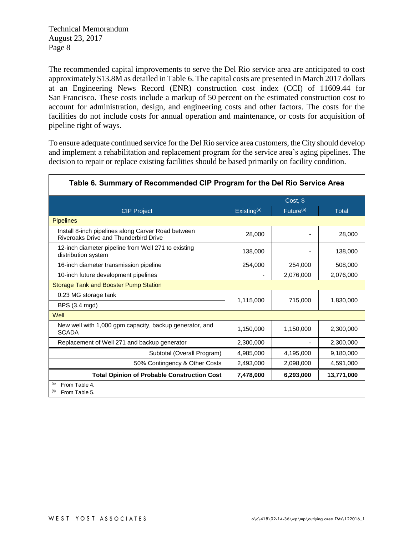The recommended capital improvements to serve the Del Rio service area are anticipated to cost approximately \$13.8M as detailed in Table 6. The capital costs are presented in March 2017 dollars at an Engineering News Record (ENR) construction cost index (CCI) of 11609.44 for San Francisco. These costs include a markup of 50 percent on the estimated construction cost to account for administration, design, and engineering costs and other factors. The costs for the facilities do not include costs for annual operation and maintenance, or costs for acquisition of pipeline right of ways.

To ensure adequate continued service for the Del Rio service area customers, the City should develop and implement a rehabilitation and replacement program for the service area's aging pipelines. The decision to repair or replace existing facilities should be based primarily on facility condition.

|                                                                                             | Cost, \$       |                       |              |
|---------------------------------------------------------------------------------------------|----------------|-----------------------|--------------|
| <b>CIP Project</b>                                                                          | Existing $(a)$ | Future <sup>(b)</sup> | <b>Total</b> |
| <b>Pipelines</b>                                                                            |                |                       |              |
| Install 8-inch pipelines along Carver Road between<br>Riveroaks Drive and Thunderbird Drive | 28,000         |                       | 28,000       |
| 12-inch diameter pipeline from Well 271 to existing<br>distribution system                  | 138,000        |                       | 138,000      |
| 16-inch diameter transmission pipeline                                                      | 254,000        | 254,000               | 508,000      |
| 10-inch future development pipelines                                                        |                | 2,076,000             | 2,076,000    |
| <b>Storage Tank and Booster Pump Station</b>                                                |                |                       |              |
| 0.23 MG storage tank                                                                        | 1,115,000      | 715,000               | 1,830,000    |
| BPS (3.4 mgd)                                                                               |                |                       |              |
| Well                                                                                        |                |                       |              |
| New well with 1,000 gpm capacity, backup generator, and<br><b>SCADA</b>                     | 1,150,000      | 1,150,000             | 2,300,000    |
| Replacement of Well 271 and backup generator                                                | 2,300,000      |                       | 2,300,000    |
| Subtotal (Overall Program)                                                                  | 4,985,000      | 4,195,000             | 9,180,000    |
| 50% Contingency & Other Costs                                                               | 2,493,000      | 2,098,000             | 4,591,000    |
| <b>Total Opinion of Probable Construction Cost</b>                                          | 7,478,000      | 6,293,000             | 13,771,000   |
| (a)<br>From Table 4.<br>(b)<br>From Table 5.                                                |                |                       |              |

#### Table 6. Summary of Recommended CIP Program for the Del Rio Service Area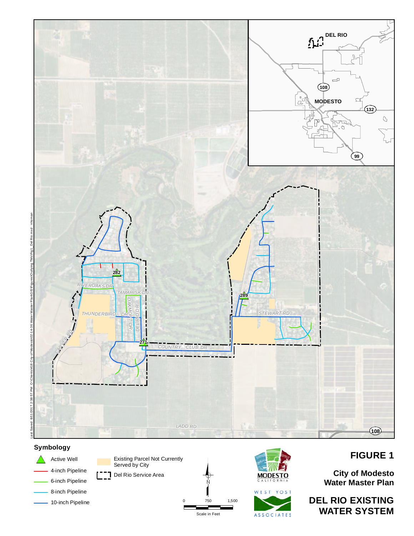

0 750 1,500

Scale in Feet

# **Symbology**



Existing Parcel Not Currently Served by City [<sup>--</sup>] Del Rio Service Area





# **FIGURE 1**

**City of Modesto Water Master Plan**

**DEL RIO EXISTING WATER SYSTEM**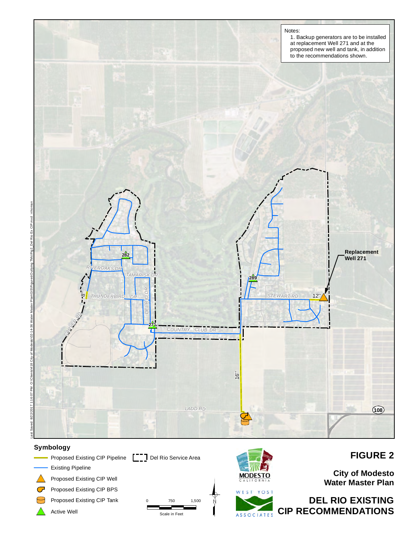

#### **Symbology**